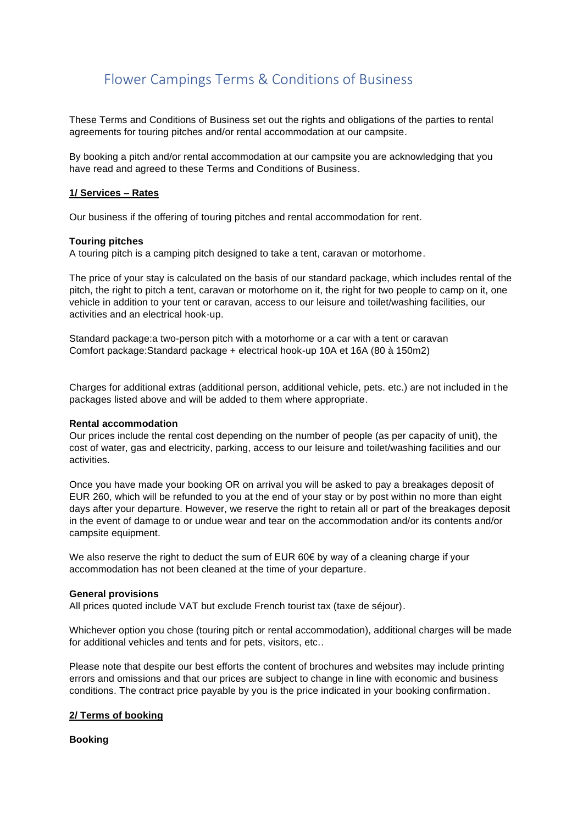# Flower Campings Terms & Conditions of Business

These Terms and Conditions of Business set out the rights and obligations of the parties to rental agreements for touring pitches and/or rental accommodation at our campsite.

By booking a pitch and/or rental accommodation at our campsite you are acknowledging that you have read and agreed to these Terms and Conditions of Business.

# **1/ Services – Rates**

Our business if the offering of touring pitches and rental accommodation for rent.

## **Touring pitches**

A touring pitch is a camping pitch designed to take a tent, caravan or motorhome.

The price of your stay is calculated on the basis of our standard package, which includes rental of the pitch, the right to pitch a tent, caravan or motorhome on it, the right for two people to camp on it, one vehicle in addition to your tent or caravan, access to our leisure and toilet/washing facilities, our activities and an electrical hook-up.

Standard package:a two-person pitch with a motorhome or a car with a tent or caravan Comfort package:Standard package + electrical hook-up 10A et 16A (80 à 150m2)

Charges for additional extras (additional person, additional vehicle, pets. etc.) are not included in the packages listed above and will be added to them where appropriate.

## **Rental accommodation**

Our prices include the rental cost depending on the number of people (as per capacity of unit), the cost of water, gas and electricity, parking, access to our leisure and toilet/washing facilities and our activities.

Once you have made your booking OR on arrival you will be asked to pay a breakages deposit of EUR 260, which will be refunded to you at the end of your stay or by post within no more than eight days after your departure. However, we reserve the right to retain all or part of the breakages deposit in the event of damage to or undue wear and tear on the accommodation and/or its contents and/or campsite equipment.

We also reserve the right to deduct the sum of EUR 60 $\epsilon$  by way of a cleaning charge if your accommodation has not been cleaned at the time of your departure.

#### **General provisions**

All prices quoted include VAT but exclude French tourist tax (taxe de séjour).

Whichever option you chose (touring pitch or rental accommodation), additional charges will be made for additional vehicles and tents and for pets, visitors, etc..

Please note that despite our best efforts the content of brochures and websites may include printing errors and omissions and that our prices are subject to change in line with economic and business conditions. The contract price payable by you is the price indicated in your booking confirmation.

## **2/ Terms of booking**

#### **Booking**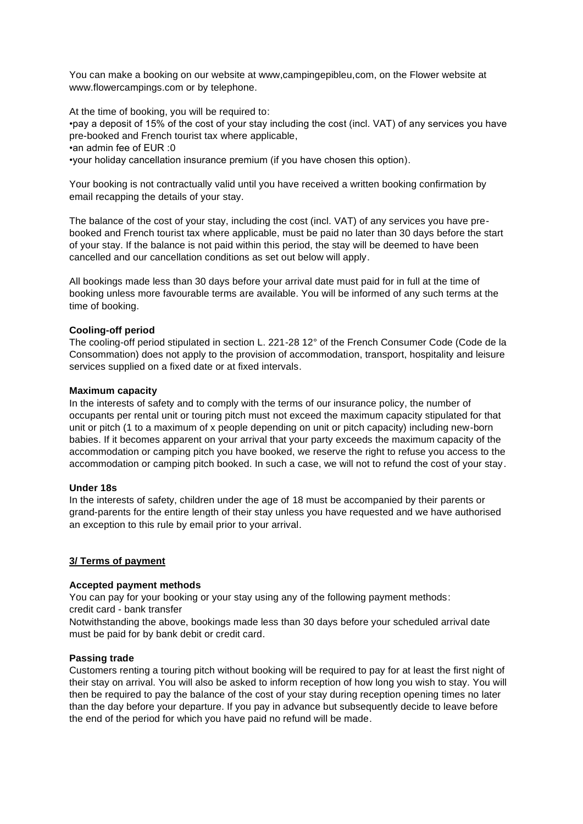You can make a booking on our website at www,campingepibleu,com, on the Flower website at www.flowercampings.com or by telephone.

At the time of booking, you will be required to: •pay a deposit of 15% of the cost of your stay including the cost (incl. VAT) of any services you have pre-booked and French tourist tax where applicable, •an admin fee of EUR :0 •your holiday cancellation insurance premium (if you have chosen this option).

Your booking is not contractually valid until you have received a written booking confirmation by email recapping the details of your stay.

The balance of the cost of your stay, including the cost (incl. VAT) of any services you have prebooked and French tourist tax where applicable, must be paid no later than 30 days before the start of your stay. If the balance is not paid within this period, the stay will be deemed to have been cancelled and our cancellation conditions as set out below will apply.

All bookings made less than 30 days before your arrival date must paid for in full at the time of booking unless more favourable terms are available. You will be informed of any such terms at the time of booking.

# **Cooling-off period**

The cooling-off period stipulated in section L. 221-28 12° of the French Consumer Code (Code de la Consommation) does not apply to the provision of accommodation, transport, hospitality and leisure services supplied on a fixed date or at fixed intervals.

## **Maximum capacity**

In the interests of safety and to comply with the terms of our insurance policy, the number of occupants per rental unit or touring pitch must not exceed the maximum capacity stipulated for that unit or pitch (1 to a maximum of x people depending on unit or pitch capacity) including new-born babies. If it becomes apparent on your arrival that your party exceeds the maximum capacity of the accommodation or camping pitch you have booked, we reserve the right to refuse you access to the accommodation or camping pitch booked. In such a case, we will not to refund the cost of your stay.

## **Under 18s**

In the interests of safety, children under the age of 18 must be accompanied by their parents or grand-parents for the entire length of their stay unless you have requested and we have authorised an exception to this rule by email prior to your arrival.

# **3/ Terms of payment**

## **Accepted payment methods**

You can pay for your booking or your stay using any of the following payment methods: credit card - bank transfer

Notwithstanding the above, bookings made less than 30 days before your scheduled arrival date must be paid for by bank debit or credit card.

## **Passing trade**

Customers renting a touring pitch without booking will be required to pay for at least the first night of their stay on arrival. You will also be asked to inform reception of how long you wish to stay. You will then be required to pay the balance of the cost of your stay during reception opening times no later than the day before your departure. If you pay in advance but subsequently decide to leave before the end of the period for which you have paid no refund will be made.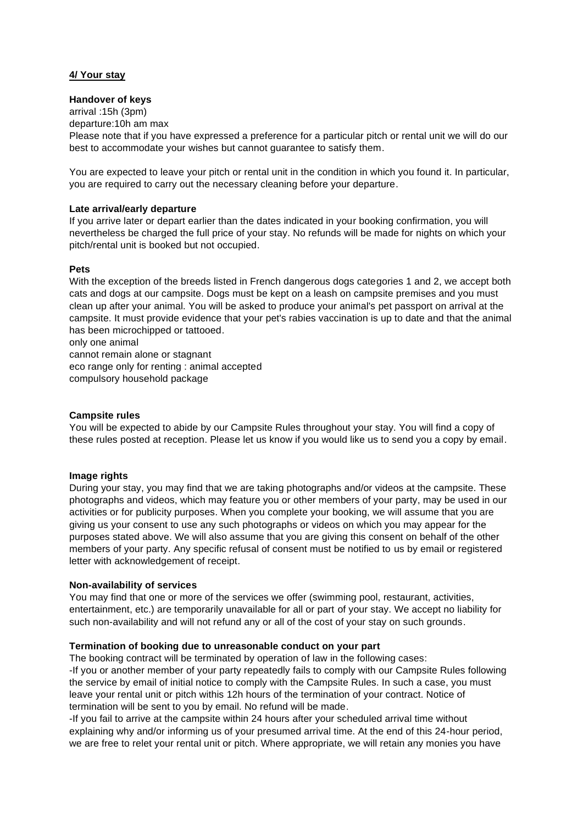# **4/ Your stay**

## **Handover of keys**

arrival :15h (3pm) departure:10h am max Please note that if you have expressed a preference for a particular pitch or rental unit we will do our best to accommodate your wishes but cannot guarantee to satisfy them.

You are expected to leave your pitch or rental unit in the condition in which you found it. In particular, you are required to carry out the necessary cleaning before your departure.

## **Late arrival/early departure**

If you arrive later or depart earlier than the dates indicated in your booking confirmation, you will nevertheless be charged the full price of your stay. No refunds will be made for nights on which your pitch/rental unit is booked but not occupied.

## **Pets**

With the exception of the breeds listed in French dangerous dogs categories 1 and 2, we accept both cats and dogs at our campsite. Dogs must be kept on a leash on campsite premises and you must clean up after your animal. You will be asked to produce your animal's pet passport on arrival at the campsite. It must provide evidence that your pet's rabies vaccination is up to date and that the animal has been microchipped or tattooed.

only one animal

cannot remain alone or stagnant eco range only for renting : animal accepted compulsory household package

## **Campsite rules**

You will be expected to abide by our Campsite Rules throughout your stay. You will find a copy of these rules posted at reception. Please let us know if you would like us to send you a copy by email.

# **Image rights**

During your stay, you may find that we are taking photographs and/or videos at the campsite. These photographs and videos, which may feature you or other members of your party, may be used in our activities or for publicity purposes. When you complete your booking, we will assume that you are giving us your consent to use any such photographs or videos on which you may appear for the purposes stated above. We will also assume that you are giving this consent on behalf of the other members of your party. Any specific refusal of consent must be notified to us by email or registered letter with acknowledgement of receipt.

## **Non-availability of services**

You may find that one or more of the services we offer (swimming pool, restaurant, activities, entertainment, etc.) are temporarily unavailable for all or part of your stay. We accept no liability for such non-availability and will not refund any or all of the cost of your stay on such grounds.

# **Termination of booking due to unreasonable conduct on your part**

The booking contract will be terminated by operation of law in the following cases:

-If you or another member of your party repeatedly fails to comply with our Campsite Rules following the service by email of initial notice to comply with the Campsite Rules. In such a case, you must leave your rental unit or pitch withis 12h hours of the termination of your contract. Notice of termination will be sent to you by email. No refund will be made.

-If you fail to arrive at the campsite within 24 hours after your scheduled arrival time without explaining why and/or informing us of your presumed arrival time. At the end of this 24-hour period, we are free to relet your rental unit or pitch. Where appropriate, we will retain any monies you have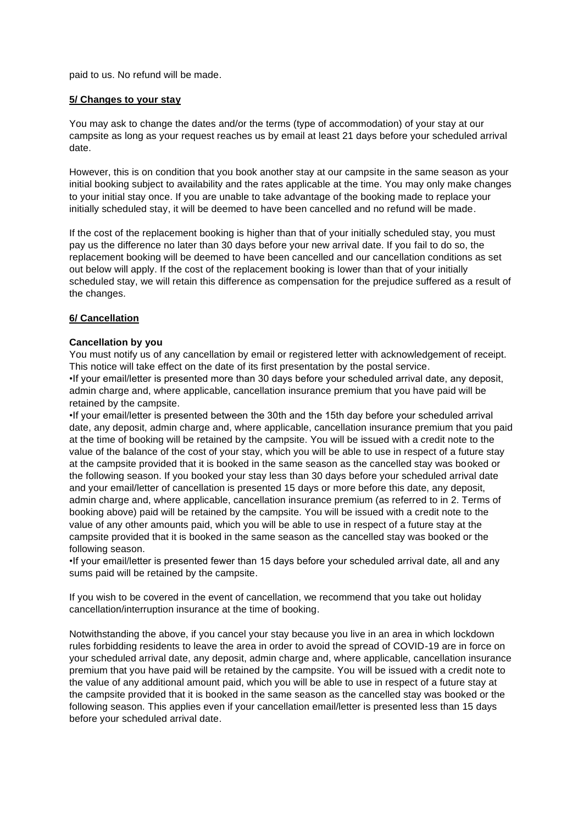paid to us. No refund will be made.

# **5/ Changes to your stay**

You may ask to change the dates and/or the terms (type of accommodation) of your stay at our campsite as long as your request reaches us by email at least 21 days before your scheduled arrival date.

However, this is on condition that you book another stay at our campsite in the same season as your initial booking subject to availability and the rates applicable at the time. You may only make changes to your initial stay once. If you are unable to take advantage of the booking made to replace your initially scheduled stay, it will be deemed to have been cancelled and no refund will be made.

If the cost of the replacement booking is higher than that of your initially scheduled stay, you must pay us the difference no later than 30 days before your new arrival date. If you fail to do so, the replacement booking will be deemed to have been cancelled and our cancellation conditions as set out below will apply. If the cost of the replacement booking is lower than that of your initially scheduled stay, we will retain this difference as compensation for the prejudice suffered as a result of the changes.

# **6/ Cancellation**

## **Cancellation by you**

You must notify us of any cancellation by email or registered letter with acknowledgement of receipt. This notice will take effect on the date of its first presentation by the postal service. •If your email/letter is presented more than 30 days before your scheduled arrival date, any deposit, admin charge and, where applicable, cancellation insurance premium that you have paid will be

retained by the campsite.

•If your email/letter is presented between the 30th and the 15th day before your scheduled arrival date, any deposit, admin charge and, where applicable, cancellation insurance premium that you paid at the time of booking will be retained by the campsite. You will be issued with a credit note to the value of the balance of the cost of your stay, which you will be able to use in respect of a future stay at the campsite provided that it is booked in the same season as the cancelled stay was booked or the following season. If you booked your stay less than 30 days before your scheduled arrival date and your email/letter of cancellation is presented 15 days or more before this date, any deposit, admin charge and, where applicable, cancellation insurance premium (as referred to in 2. Terms of booking above) paid will be retained by the campsite. You will be issued with a credit note to the value of any other amounts paid, which you will be able to use in respect of a future stay at the campsite provided that it is booked in the same season as the cancelled stay was booked or the following season.

•If your email/letter is presented fewer than 15 days before your scheduled arrival date, all and any sums paid will be retained by the campsite.

If you wish to be covered in the event of cancellation, we recommend that you take out holiday cancellation/interruption insurance at the time of booking.

Notwithstanding the above, if you cancel your stay because you live in an area in which lockdown rules forbidding residents to leave the area in order to avoid the spread of COVID-19 are in force on your scheduled arrival date, any deposit, admin charge and, where applicable, cancellation insurance premium that you have paid will be retained by the campsite. You will be issued with a credit note to the value of any additional amount paid, which you will be able to use in respect of a future stay at the campsite provided that it is booked in the same season as the cancelled stay was booked or the following season. This applies even if your cancellation email/letter is presented less than 15 days before your scheduled arrival date.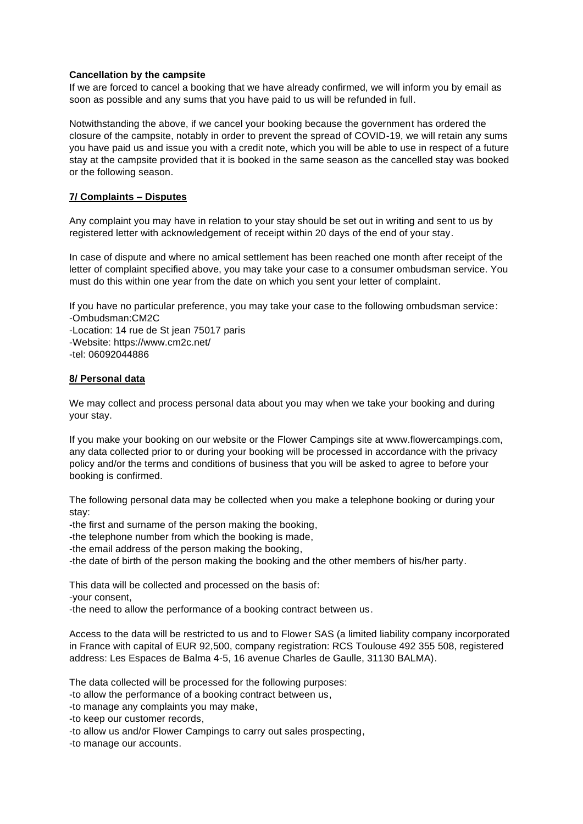# **Cancellation by the campsite**

If we are forced to cancel a booking that we have already confirmed, we will inform you by email as soon as possible and any sums that you have paid to us will be refunded in full.

Notwithstanding the above, if we cancel your booking because the government has ordered the closure of the campsite, notably in order to prevent the spread of COVID-19, we will retain any sums you have paid us and issue you with a credit note, which you will be able to use in respect of a future stay at the campsite provided that it is booked in the same season as the cancelled stay was booked or the following season.

# **7/ Complaints – Disputes**

Any complaint you may have in relation to your stay should be set out in writing and sent to us by registered letter with acknowledgement of receipt within 20 days of the end of your stay.

In case of dispute and where no amical settlement has been reached one month after receipt of the letter of complaint specified above, you may take your case to a consumer ombudsman service. You must do this within one year from the date on which you sent your letter of complaint.

If you have no particular preference, you may take your case to the following ombudsman service: -Ombudsman:CM2C -Location: 14 rue de St jean 75017 paris -Website: https://www.cm2c.net/

-tel: 06092044886

## **8/ Personal data**

We may collect and process personal data about you may when we take your booking and during your stay.

If you make your booking on our website or the Flower Campings site at www.flowercampings.com, any data collected prior to or during your booking will be processed in accordance with the privacy policy and/or the terms and conditions of business that you will be asked to agree to before your booking is confirmed.

The following personal data may be collected when you make a telephone booking or during your stay:

-the first and surname of the person making the booking,

-the telephone number from which the booking is made,

-the email address of the person making the booking,

-the date of birth of the person making the booking and the other members of his/her party.

This data will be collected and processed on the basis of:

-your consent,

-the need to allow the performance of a booking contract between us.

Access to the data will be restricted to us and to Flower SAS (a limited liability company incorporated in France with capital of EUR 92,500, company registration: RCS Toulouse 492 355 508, registered address: Les Espaces de Balma 4-5, 16 avenue Charles de Gaulle, 31130 BALMA).

The data collected will be processed for the following purposes:

-to allow the performance of a booking contract between us,

-to manage any complaints you may make,

-to keep our customer records,

-to allow us and/or Flower Campings to carry out sales prospecting,

-to manage our accounts.